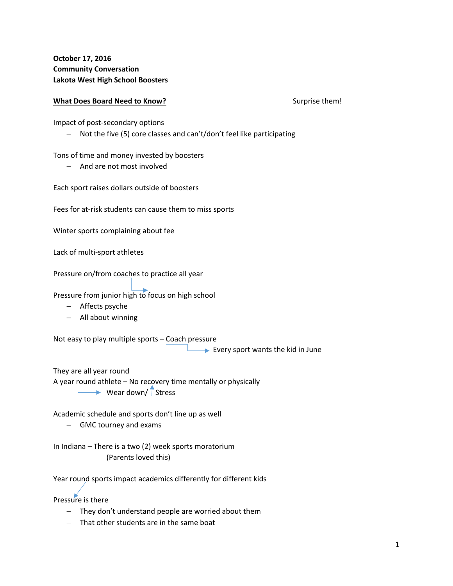## **What Does Board Need to Know?** Surprise them!

Impact of post‐secondary options

- Not the five (5) core classes and can't/don't feel like participating

Tons of time and money invested by boosters

- And are not most involved

Each sport raises dollars outside of boosters

Fees for at-risk students can cause them to miss sports

Winter sports complaining about fee

Lack of multi‐sport athletes

Pressure on/from coaches to practice all year

Pressure from junior high to focus on high school

- Affects psyche
- All about winning

Not easy to play multiple sports – Coach pressure

**Every sport wants the kid in June** 

They are all year round A year round athlete – No recovery time mentally or physically  $\longrightarrow$  Wear down/  $\int$  Stress

Academic schedule and sports don't line up as well

GMC tourney and exams

In Indiana – There is a two (2) week sports moratorium (Parents loved this)

Year round sports impact academics differently for different kids

Pressure is there

- They don't understand people are worried about them
- That other students are in the same boat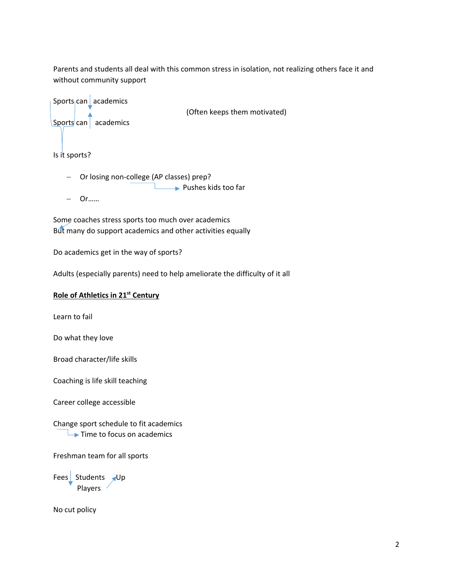Parents and students all deal with this common stress in isolation, not realizing others face it and without community support



(Often keeps them motivated)

Is it sports?

- Or losing non-college (AP classes) prep? Pushes kids too far
- Or……

Some coaches stress sports too much over academics But many do support academics and other activities equally

Do academics get in the way of sports?

Adults (especially parents) need to help ameliorate the difficulty of it all

## **Role of Athletics in 21st Century**

Learn to fail

Do what they love

Broad character/life skills

Coaching is life skill teaching

Career college accessible

Change sport schedule to fit academics  $\rightarrow$  Time to focus on academics

Freshman team for all sports

Fees $\sqrt{\frac{1}{2}}$  Students  $\sqrt{\frac{1}{2}}$ Players

No cut policy